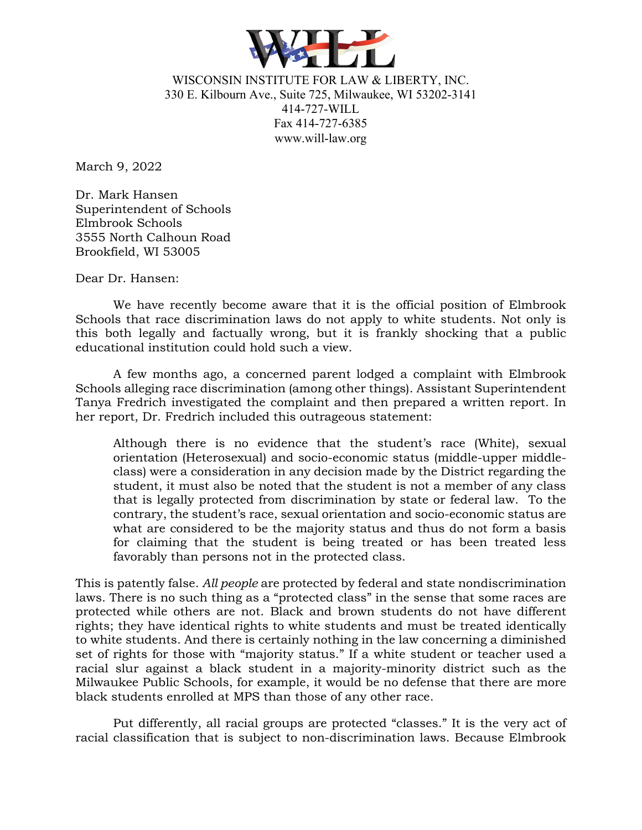

WISCONSIN INSTITUTE FOR LAW & LIBERTY, INC. 330 E. Kilbourn Ave., Suite 725, Milwaukee, WI 53202-3141 414-727-WILL Fax 414-727-6385 www.will-law.org

March 9, 2022

Dr. Mark Hansen Superintendent of Schools Elmbrook Schools 3555 North Calhoun Road Brookfield, WI 53005

Dear Dr. Hansen:

We have recently become aware that it is the official position of Elmbrook Schools that race discrimination laws do not apply to white students. Not only is this both legally and factually wrong, but it is frankly shocking that a public educational institution could hold such a view.

A few months ago, a concerned parent lodged a complaint with Elmbrook Schools alleging race discrimination (among other things). Assistant Superintendent Tanya Fredrich investigated the complaint and then prepared a written report. In her report, Dr. Fredrich included this outrageous statement:

Although there is no evidence that the student's race (White), sexual orientation (Heterosexual) and socio-economic status (middle-upper middleclass) were a consideration in any decision made by the District regarding the student, it must also be noted that the student is not a member of any class that is legally protected from discrimination by state or federal law. To the contrary, the student's race, sexual orientation and socio-economic status are what are considered to be the majority status and thus do not form a basis for claiming that the student is being treated or has been treated less favorably than persons not in the protected class.

This is patently false. *All people* are protected by federal and state nondiscrimination laws. There is no such thing as a "protected class" in the sense that some races are protected while others are not. Black and brown students do not have different rights; they have identical rights to white students and must be treated identically to white students. And there is certainly nothing in the law concerning a diminished set of rights for those with "majority status." If a white student or teacher used a racial slur against a black student in a majority-minority district such as the Milwaukee Public Schools, for example, it would be no defense that there are more black students enrolled at MPS than those of any other race.

Put differently, all racial groups are protected "classes." It is the very act of racial classification that is subject to non-discrimination laws. Because Elmbrook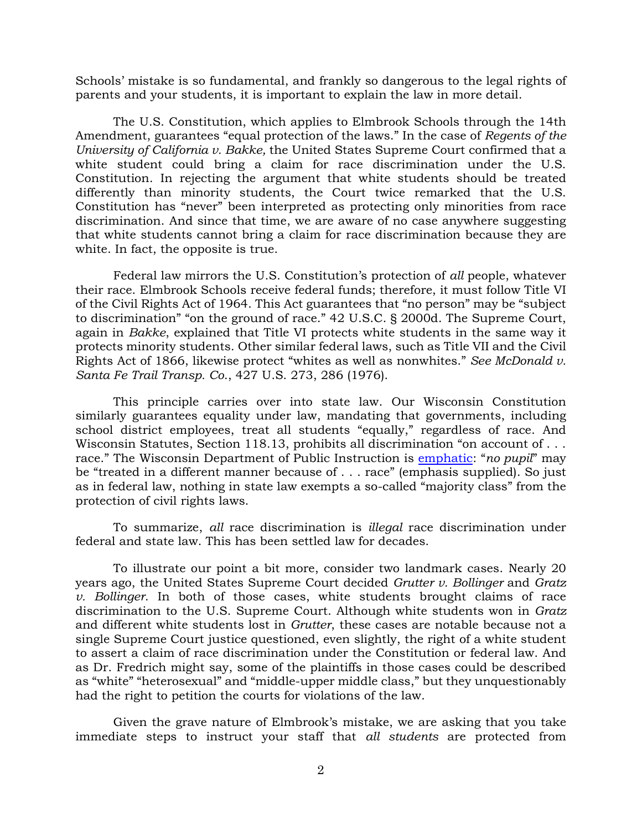Schools' mistake is so fundamental, and frankly so dangerous to the legal rights of parents and your students, it is important to explain the law in more detail.

The U.S. Constitution, which applies to Elmbrook Schools through the 14th Amendment, guarantees "equal protection of the laws." In the case of *Regents of the University of California v. Bakke,* the United States Supreme Court confirmed that a white student could bring a claim for race discrimination under the U.S. Constitution. In rejecting the argument that white students should be treated differently than minority students, the Court twice remarked that the U.S. Constitution has "never" been interpreted as protecting only minorities from race discrimination. And since that time, we are aware of no case anywhere suggesting that white students cannot bring a claim for race discrimination because they are white. In fact, the opposite is true.

Federal law mirrors the U.S. Constitution's protection of *all* people, whatever their race. Elmbrook Schools receive federal funds; therefore, it must follow Title VI of the Civil Rights Act of 1964. This Act guarantees that "no person" may be "subject to discrimination" "on the ground of race." 42 U.S.C. § 2000d. The Supreme Court, again in *Bakke*, explained that Title VI protects white students in the same way it protects minority students. Other similar federal laws, such as Title VII and the Civil Rights Act of 1866, likewise protect "whites as well as nonwhites." *See McDonald v. Santa Fe Trail Transp. Co*., 427 U.S. 273, 286 (1976).

This principle carries over into state law. Our Wisconsin Constitution similarly guarantees equality under law, mandating that governments, including school district employees, treat all students "equally," regardless of race. And Wisconsin Statutes, Section 118.13, prohibits all discrimination "on account of . . . race." The Wisconsin Department of Public Instruction is [emphatic:](https://dpi.wi.gov/sped/pupil-nondiscrimination) "*no pupil*" may be "treated in a different manner because of . . . race" (emphasis supplied). So just as in federal law, nothing in state law exempts a so-called "majority class" from the protection of civil rights laws.

To summarize, *all* race discrimination is *illegal* race discrimination under federal and state law. This has been settled law for decades.

To illustrate our point a bit more, consider two landmark cases. Nearly 20 years ago, the United States Supreme Court decided *Grutter v. Bollinger* and *Gratz v. Bollinger*. In both of those cases, white students brought claims of race discrimination to the U.S. Supreme Court. Although white students won in *Gratz* and different white students lost in *Grutter*, these cases are notable because not a single Supreme Court justice questioned, even slightly, the right of a white student to assert a claim of race discrimination under the Constitution or federal law. And as Dr. Fredrich might say, some of the plaintiffs in those cases could be described as "white" "heterosexual" and "middle-upper middle class," but they unquestionably had the right to petition the courts for violations of the law.

Given the grave nature of Elmbrook's mistake, we are asking that you take immediate steps to instruct your staff that *all students* are protected from